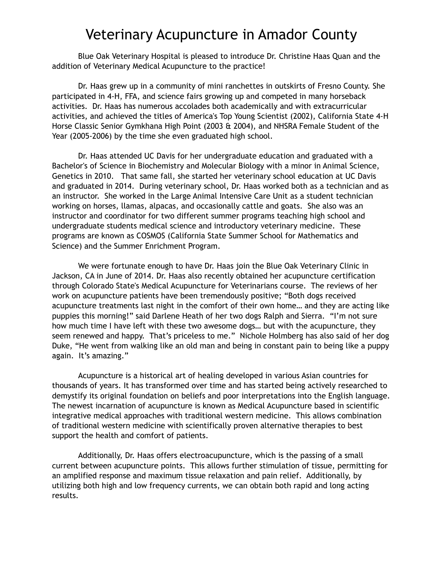## Veterinary Acupuncture in Amador County

Blue Oak Veterinary Hospital is pleased to introduce Dr. Christine Haas Quan and the addition of Veterinary Medical Acupuncture to the practice!

Dr. Haas grew up in a community of mini ranchettes in outskirts of Fresno County. She participated in 4-H, FFA, and science fairs growing up and competed in many horseback activities. Dr. Haas has numerous accolades both academically and with extracurricular activities, and achieved the titles of America's Top Young Scientist (2002), California State 4-H Horse Classic Senior Gymkhana High Point (2003 & 2004), and NHSRA Female Student of the Year (2005-2006) by the time she even graduated high school.

Dr. Haas attended UC Davis for her undergraduate education and graduated with a Bachelor's of Science in Biochemistry and Molecular Biology with a minor in Animal Science, Genetics in 2010. That same fall, she started her veterinary school education at UC Davis and graduated in 2014. During veterinary school, Dr. Haas worked both as a technician and as an instructor. She worked in the Large Animal Intensive Care Unit as a student technician working on horses, llamas, alpacas, and occasionally cattle and goats. She also was an instructor and coordinator for two different summer programs teaching high school and undergraduate students medical science and introductory veterinary medicine. These programs are known as COSMOS (California State Summer School for Mathematics and Science) and the Summer Enrichment Program.

We were fortunate enough to have Dr. Haas join the Blue Oak Veterinary Clinic in Jackson, CA in June of 2014. Dr. Haas also recently obtained her acupuncture certification through Colorado State's Medical Acupuncture for Veterinarians course. The reviews of her work on acupuncture patients have been tremendously positive; "Both dogs received acupuncture treatments last night in the comfort of their own home… and they are acting like puppies this morning!" said Darlene Heath of her two dogs Ralph and Sierra. "I'm not sure how much time I have left with these two awesome dogs… but with the acupuncture, they seem renewed and happy. That's priceless to me." Nichole Holmberg has also said of her dog Duke, "He went from walking like an old man and being in constant pain to being like a puppy again. It's amazing."

Acupuncture is a historical art of healing developed in various Asian countries for thousands of years. It has transformed over time and has started being actively researched to demystify its original foundation on beliefs and poor interpretations into the English language. The newest incarnation of acupuncture is known as Medical Acupuncture based in scientific integrative medical approaches with traditional western medicine. This allows combination of traditional western medicine with scientifically proven alternative therapies to best support the health and comfort of patients.

Additionally, Dr. Haas offers electroacupuncture, which is the passing of a small current between acupuncture points. This allows further stimulation of tissue, permitting for an amplified response and maximum tissue relaxation and pain relief. Additionally, by utilizing both high and low frequency currents, we can obtain both rapid and long acting results.